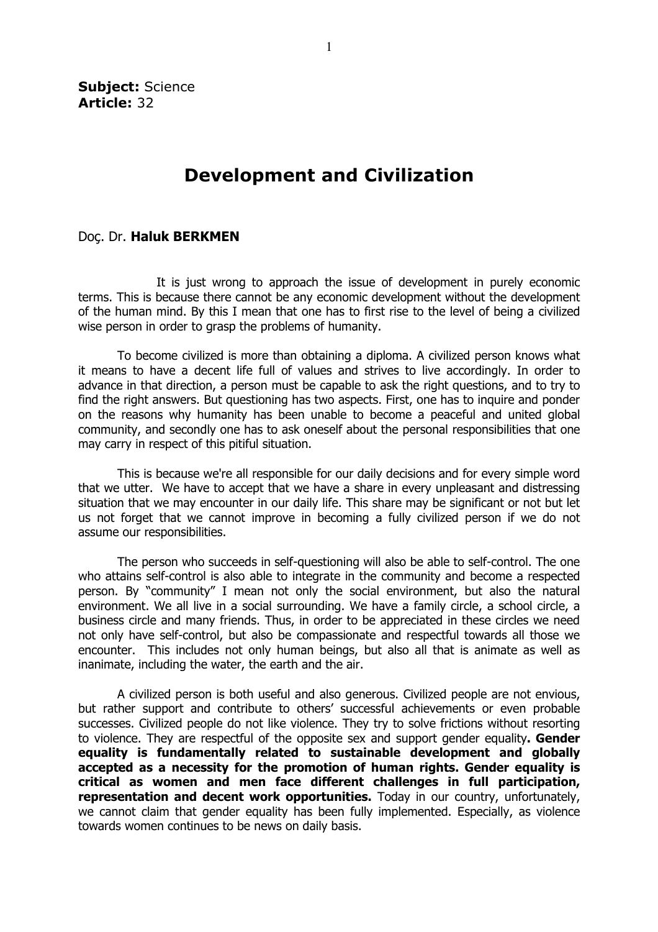Subiect: Science Article: 32

## Development and Civilization

## Doç. Dr. Haluk BERKMEN

It is just wrong to approach the issue of development in purely economic terms. This is because there cannot be any economic development without the development of the human mind. By this I mean that one has to first rise to the level of being a civilized wise person in order to grasp the problems of humanity.

To become civilized is more than obtaining a diploma. A civilized person knows what it means to have a decent life full of values and strives to live accordingly. In order to advance in that direction, a person must be capable to ask the right questions, and to try to find the right answers. But questioning has two aspects. First, one has to inquire and ponder on the reasons why humanity has been unable to become a peaceful and united global community, and secondly one has to ask oneself about the personal responsibilities that one may carry in respect of this pitiful situation.

This is because we're all responsible for our daily decisions and for every simple word that we utter. We have to accept that we have a share in every unpleasant and distressing situation that we may encounter in our daily life. This share may be significant or not but let us not forget that we cannot improve in becoming a fully civilized person if we do not assume our responsibilities.

The person who succeeds in self-questioning will also be able to self-control. The one who attains self-control is also able to integrate in the community and become a respected person. By "community" I mean not only the social environment, but also the natural environment. We all live in a social surrounding. We have a family circle, a school circle, a business circle and many friends. Thus, in order to be appreciated in these circles we need not only have self-control, but also be compassionate and respectful towards all those we encounter. This includes not only human beings, but also all that is animate as well as inanimate, including the water, the earth and the air.

A civilized person is both useful and also generous. Civilized people are not envious, but rather support and contribute to others' successful achievements or even probable successes. Civilized people do not like violence. They try to solve frictions without resorting to violence. They are respectful of the opposite sex and support gender equality. Gender equality is fundamentally related to sustainable development and globally accepted as a necessity for the promotion of human rights. Gender equality is critical as women and men face different challenges in full participation, representation and decent work opportunities. Today in our country, unfortunately, we cannot claim that gender equality has been fully implemented. Especially, as violence towards women continues to be news on daily basis.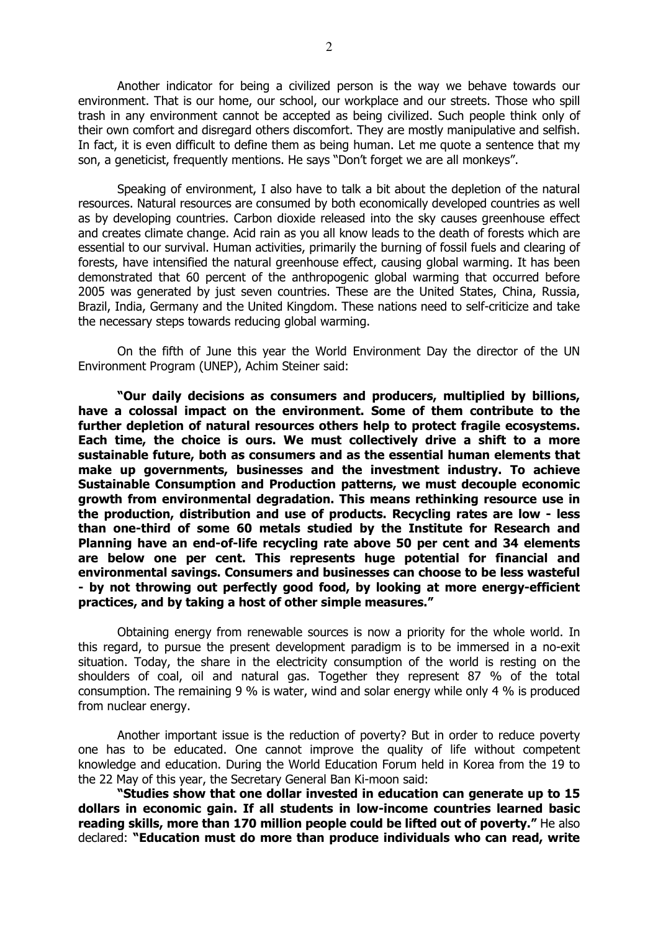Another indicator for being a civilized person is the way we behave towards our environment. That is our home, our school, our workplace and our streets. Those who spill trash in any environment cannot be accepted as being civilized. Such people think only of their own comfort and disregard others discomfort. They are mostly manipulative and selfish. In fact, it is even difficult to define them as being human. Let me quote a sentence that my son, a geneticist, frequently mentions. He says "Don't forget we are all monkeys".

Speaking of environment, I also have to talk a bit about the depletion of the natural resources. Natural resources are consumed by both economically developed countries as well as by developing countries. Carbon dioxide released into the sky causes greenhouse effect and creates climate change. Acid rain as you all know leads to the death of forests which are essential to our survival. Human activities, primarily the burning of fossil fuels and clearing of forests, have intensified the natural greenhouse effect, causing global warming. It has been demonstrated that 60 percent of the anthropogenic global warming that occurred before 2005 was generated by just seven countries. These are the United States, China, Russia, Brazil, India, Germany and the United Kingdom. These nations need to self-criticize and take the necessary steps towards reducing global warming.

On the fifth of June this year the World Environment Day the director of the UN Environment Program (UNEP), Achim Steiner said:

"Our daily decisions as consumers and producers, multiplied by billions, have a colossal impact on the environment. Some of them contribute to the further depletion of natural resources others help to protect fragile ecosystems. Each time, the choice is ours. We must collectively drive a shift to a more sustainable future, both as consumers and as the essential human elements that make up governments, businesses and the investment industry. To achieve Sustainable Consumption and Production patterns, we must decouple economic growth from environmental degradation. This means rethinking resource use in the production, distribution and use of products. Recycling rates are low - less than one-third of some 60 metals studied by the Institute for Research and Planning have an end-of-life recycling rate above 50 per cent and 34 elements are below one per cent. This represents huge potential for financial and environmental savings. Consumers and businesses can choose to be less wasteful - by not throwing out perfectly good food, by looking at more energy-efficient practices, and by taking a host of other simple measures."

Obtaining energy from renewable sources is now a priority for the whole world. In this regard, to pursue the present development paradigm is to be immersed in a no-exit situation. Today, the share in the electricity consumption of the world is resting on the shoulders of coal, oil and natural gas. Together they represent 87 % of the total consumption. The remaining 9 % is water, wind and solar energy while only 4 % is produced from nuclear energy.

Another important issue is the reduction of poverty? But in order to reduce poverty one has to be educated. One cannot improve the quality of life without competent knowledge and education. During the World Education Forum held in Korea from the 19 to the 22 May of this year, the Secretary General Ban Ki-moon said:

"Studies show that one dollar invested in education can generate up to 15 dollars in economic gain. If all students in low-income countries learned basic reading skills, more than 170 million people could be lifted out of poverty." He also declared: "Education must do more than produce individuals who can read, write